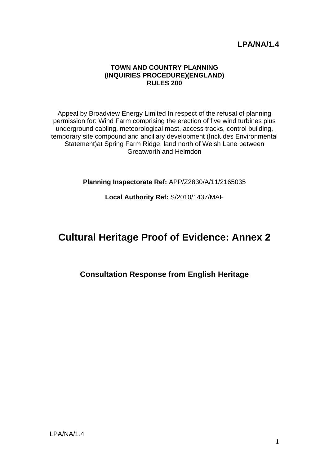# **LPA/NA/1.4**

#### **TOWN AND COUNTRY PLANNING (INQUIRIES PROCEDURE)(ENGLAND) RULES 200**

Appeal by Broadview Energy Limited In respect of the refusal of planning permission for: Wind Farm comprising the erection of five wind turbines plus underground cabling, meteorological mast, access tracks, control building, temporary site compound and ancillary development (Includes Environmental Statement)at Spring Farm Ridge, land north of Welsh Lane between Greatworth and Helmdon

**Planning Inspectorate Ref:** APP/Z2830/A/11/2165035

## **Local Authority Ref:** S/2010/1437/MAF

# **Cultural Heritage Proof of Evidence: Annex 2**

# **Consultation Response from English Heritage**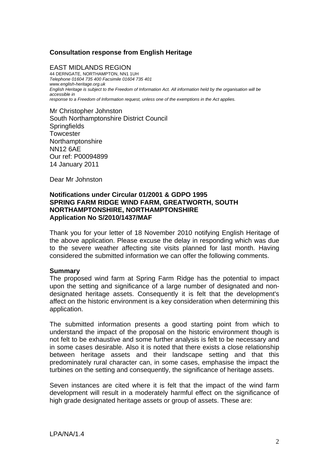## **Consultation response from English Heritage**

EAST MIDLANDS REGION 44 DERNGATE, NORTHAMPTON, NN1 1UH *Telephone 01604 735 400 Facsimile 01604 735 401 www.english-heritage.org.uk English Heritage is subject to the Freedom of Information Act. All information held by the organisation will be accessible in response to a Freedom of Information request, unless one of the exemptions in the Act applies.* 

Mr Christopher Johnston South Northamptonshire District Council **Springfields Towcester** Northamptonshire NN12 6AE Our ref: P00094899 14 January 2011

Dear Mr Johnston

#### **Notifications under Circular 01/2001 & GDPO 1995 SPRING FARM RIDGE WIND FARM, GREATWORTH, SOUTH NORTHAMPTONSHIRE, NORTHAMPTONSHIRE Application No S/2010/1437/MAF**

Thank you for your letter of 18 November 2010 notifying English Heritage of the above application. Please excuse the delay in responding which was due to the severe weather affecting site visits planned for last month. Having considered the submitted information we can offer the following comments.

#### **Summary**

The proposed wind farm at Spring Farm Ridge has the potential to impact upon the setting and significance of a large number of designated and nondesignated heritage assets. Consequently it is felt that the development's affect on the historic environment is a key consideration when determining this application.

The submitted information presents a good starting point from which to understand the impact of the proposal on the historic environment though is not felt to be exhaustive and some further analysis is felt to be necessary and in some cases desirable. Also it is noted that there exists a close relationship between heritage assets and their landscape setting and that this predominately rural character can, in some cases, emphasise the impact the turbines on the setting and consequently, the significance of heritage assets.

Seven instances are cited where it is felt that the impact of the wind farm development will result in a moderately harmful effect on the significance of high grade designated heritage assets or group of assets. These are: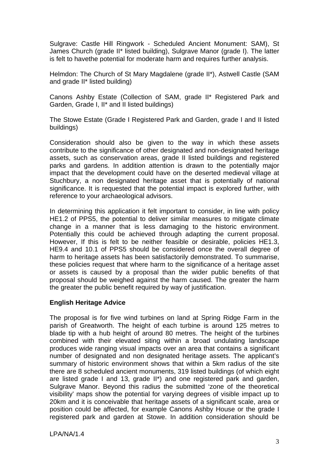Sulgrave: Castle Hill Ringwork - Scheduled Ancient Monument: SAM), St James Church (grade II\* listed building), Sulgrave Manor (grade I). The latter is felt to havethe potential for moderate harm and requires further analysis.

Helmdon: The Church of St Mary Magdalene (grade II\*), Astwell Castle (SAM and grade II\* listed building)

Canons Ashby Estate (Collection of SAM, grade II\* Registered Park and Garden, Grade I, II\* and II listed buildings)

The Stowe Estate (Grade I Registered Park and Garden, grade I and II listed buildings)

Consideration should also be given to the way in which these assets contribute to the significance of other designated and non-designated heritage assets, such as conservation areas, grade II listed buildings and registered parks and gardens. In addition attention is drawn to the potentially major impact that the development could have on the deserted medieval village at Stuchbury, a non designated heritage asset that is potentially of national significance. It is requested that the potential impact is explored further, with reference to your archaeological advisors.

In determining this application it felt important to consider, in line with policy HE1.2 of PPS5, the potential to deliver similar measures to mitigate climate change in a manner that is less damaging to the historic environment. Potentially this could be achieved through adapting the current proposal. However, If this is felt to be neither feasible or desirable, policies HE1.3, HE9.4 and 10.1 of PPS5 should be considered once the overall degree of harm to heritage assets has been satisfactorily demonstrated. To summarise, these policies request that where harm to the significance of a heritage asset or assets is caused by a proposal than the wider public benefits of that proposal should be weighed against the harm caused. The greater the harm the greater the public benefit required by way of justification.

## **English Heritage Advice**

The proposal is for five wind turbines on land at Spring Ridge Farm in the parish of Greatworth. The height of each turbine is around 125 metres to blade tip with a hub height of around 80 metres. The height of the turbines combined with their elevated siting within a broad undulating landscape produces wide ranging visual impacts over an area that contains a significant number of designated and non designated heritage assets. The applicant's summary of historic environment shows that within a 5km radius of the site there are 8 scheduled ancient monuments, 319 listed buildings (of which eight are listed grade I and 13, grade II\*) and one registered park and garden, Sulgrave Manor. Beyond this radius the submitted 'zone of the theoretical visibility' maps show the potential for varying degrees of visible impact up to 20km and it is conceivable that heritage assets of a significant scale, area or position could be affected, for example Canons Ashby House or the grade I registered park and garden at Stowe. In addition consideration should be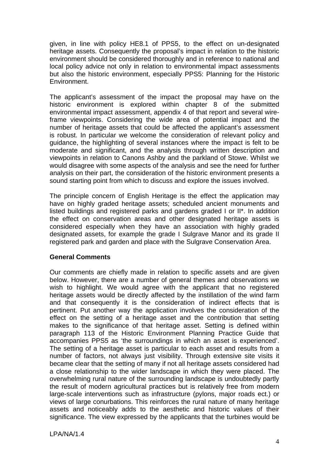given, in line with policy HE8.1 of PPS5, to the effect on un-designated heritage assets. Consequently the proposal's impact in relation to the historic environment should be considered thoroughly and in reference to national and local policy advice not only in relation to environmental impact assessments but also the historic environment, especially PPS5: Planning for the Historic Environment.

The applicant's assessment of the impact the proposal may have on the historic environment is explored within chapter 8 of the submitted environmental impact assessment, appendix 4 of that report and several wireframe viewpoints. Considering the wide area of potential impact and the number of heritage assets that could be affected the applicant's assessment is robust. In particular we welcome the consideration of relevant policy and guidance, the highlighting of several instances where the impact is felt to be moderate and significant, and the analysis through written description and viewpoints in relation to Canons Ashby and the parkland of Stowe. Whilst we would disagree with some aspects of the analysis and see the need for further analysis on their part, the consideration of the historic environment presents a sound starting point from which to discuss and explore the issues involved.

The principle concern of English Heritage is the effect the application may have on highly graded heritage assets; scheduled ancient monuments and listed buildings and registered parks and gardens graded I or II\*. In addition the effect on conservation areas and other designated heritage assets is considered especially when they have an association with highly graded designated assets, for example the grade I Sulgrave Manor and its grade II registered park and garden and place with the Sulgrave Conservation Area.

## **General Comments**

Our comments are chiefly made in relation to specific assets and are given below. However, there are a number of general themes and observations we wish to highlight. We would agree with the applicant that no registered heritage assets would be directly affected by the instillation of the wind farm and that consequently it is the consideration of indirect effects that is pertinent. Put another way the application involves the consideration of the effect on the setting of a heritage asset and the contribution that setting makes to the significance of that heritage asset. Setting is defined within paragraph 113 of the Historic Environment Planning Practice Guide that accompanies PPS5 as 'the surroundings in which an asset is experienced'. The setting of a heritage asset is particular to each asset and results from a number of factors, not always just visibility. Through extensive site visits it became clear that the setting of many if not all heritage assets considered had a close relationship to the wider landscape in which they were placed. The overwhelming rural nature of the surrounding landscape is undoubtedly partly the result of modern agricultural practices but is relatively free from modern large-scale interventions such as infrastructure (pylons, major roads ect.) or views of large conurbations. This reinforces the rural nature of many heritage assets and noticeably adds to the aesthetic and historic values of their significance. The view expressed by the applicants that the turbines would be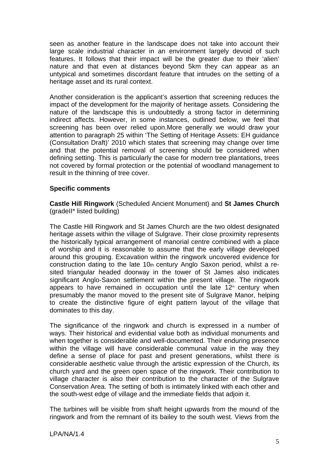seen as another feature in the landscape does not take into account their large scale industrial character in an environment largely devoid of such features. It follows that their impact will be the greater due to their 'alien' nature and that even at distances beyond 5km they can appear as an untypical and sometimes discordant feature that intrudes on the setting of a heritage asset and its rural context.

Another consideration is the applicant's assertion that screening reduces the impact of the development for the majority of heritage assets. Considering the nature of the landscape this is undoubtedly a strong factor in determining indirect affects. However, in some instances, outlined below, we feel that screening has been over relied upon.More generally we would draw your attention to paragraph 25 within 'The Setting of Heritage Assets: EH guidance (Consultation Draft)' 2010 which states that screening may change over time and that the potential removal of screening should be considered when defining setting. This is particularly the case for modern tree plantations, trees not covered by formal protection or the potential of woodland management to result in the thinning of tree cover.

#### **Specific comments**

**Castle Hill Ringwork** (Scheduled Ancient Monument) and **St James Church**  (gradeII\* listed building)

The Castle Hill Ringwork and St James Church are the two oldest designated heritage assets within the village of Sulgrave. Their close proximity represents the historically typical arrangement of manorial centre combined with a place of worship and it is reasonable to assume that the early village developed around this grouping. Excavation within the ringwork uncovered evidence for construction dating to the late 10th century Anglo Saxon period, whilst a resited triangular headed doorway in the tower of St James also indicates significant Anglo-Saxon settlement within the present village. The ringwork appears to have remained in occupation until the late  $12<sup>th</sup>$  century when presumably the manor moved to the present site of Sulgrave Manor, helping to create the distinctive figure of eight pattern layout of the village that dominates to this day.

The significance of the ringwork and church is expressed in a number of ways. Their historical and evidential value both as individual monuments and when together is considerable and well-documented. Their enduring presence within the village will have considerable communal value in the way they define a sense of place for past and present generations, whilst there is considerable aesthetic value through the artistic expression of the Church, its church yard and the green open space of the ringwork. Their contribution to village character is also their contribution to the character of the Sulgrave Conservation Area. The setting of both is intimately linked with each other and the south-west edge of village and the immediate fields that adjoin it.

The turbines will be visible from shaft height upwards from the mound of the ringwork and from the remnant of its bailey to the south west. Views from the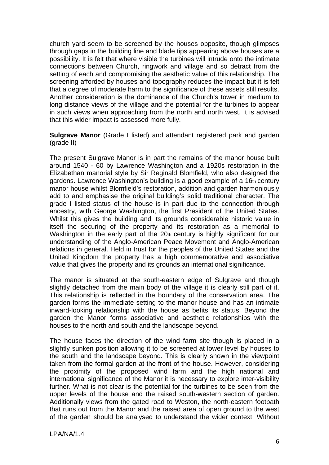church yard seem to be screened by the houses opposite, though glimpses through gaps in the building line and blade tips appearing above houses are a possibility. It is felt that where visible the turbines will intrude onto the intimate connections between Church, ringwork and village and so detract from the setting of each and compromising the aesthetic value of this relationship. The screening afforded by houses and topography reduces the impact but it is felt that a degree of moderate harm to the significance of these assets still results. Another consideration is the dominance of the Church's tower in medium to long distance views of the village and the potential for the turbines to appear in such views when approaching from the north and north west. It is advised that this wider impact is assessed more fully.

**Sulgrave Manor** (Grade I listed) and attendant registered park and garden (grade II)

The present Sulgrave Manor is in part the remains of the manor house built around 1540 - 60 by Lawrence Washington and a 1920s restoration in the Elizabethan manorial style by Sir Reginald Blomfield, who also designed the gardens. Lawrence Washington's building is a good example of a 16th century manor house whilst Blomfield's restoration, addition and garden harmoniously add to and emphasise the original building's solid traditional character. The grade I listed status of the house is in part due to the connection through ancestry, with George Washington, the first President of the United States. Whilst this gives the building and its grounds considerable historic value in itself the securing of the property and its restoration as a memorial to Washington in the early part of the 20th century is highly significant for our understanding of the Anglo-American Peace Movement and Anglo-American relations in general. Held in trust for the peoples of the United States and the United Kingdom the property has a high commemorative and associative value that gives the property and its grounds an international significance.

The manor is situated at the south-eastern edge of Sulgrave and though slightly detached from the main body of the village it is clearly still part of it. This relationship is reflected in the boundary of the conservation area. The garden forms the immediate setting to the manor house and has an intimate inward-looking relationship with the house as befits its status. Beyond the garden the Manor forms associative and aesthetic relationships with the houses to the north and south and the landscape beyond.

The house faces the direction of the wind farm site though is placed in a slightly sunken position allowing it to be screened at lower level by houses to the south and the landscape beyond. This is clearly shown in the viewpoint taken from the formal garden at the front of the house. However, considering the proximity of the proposed wind farm and the high national and international significance of the Manor it is necessary to explore inter-visibility further. What is not clear is the potential for the turbines to be seen from the upper levels of the house and the raised south-western section of garden. Additionally views from the gated road to Weston, the north-eastern footpath that runs out from the Manor and the raised area of open ground to the west of the garden should be analysed to understand the wider context. Without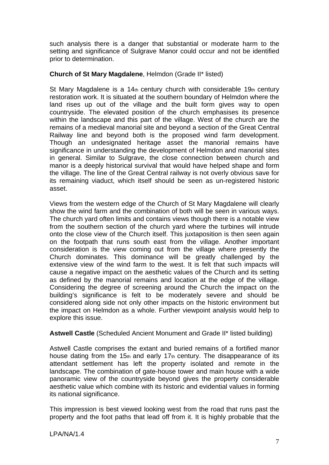such analysis there is a danger that substantial or moderate harm to the setting and significance of Sulgrave Manor could occur and not be identified prior to determination.

## **Church of St Mary Magdalene**, Helmdon (Grade II\* listed)

St Mary Magdalene is a  $14<sub>th</sub>$  century church with considerable  $19<sub>th</sub>$  century restoration work. It is situated at the southern boundary of Helmdon where the land rises up out of the village and the built form gives way to open countryside. The elevated position of the church emphasises its presence within the landscape and this part of the village. West of the church are the remains of a medieval manorial site and beyond a section of the Great Central Railway line and beyond both is the proposed wind farm development. Though an undesignated heritage asset the manorial remains have significance in understanding the development of Helmdon and manorial sites in general. Similar to Sulgrave, the close connection between church and manor is a deeply historical survival that would have helped shape and form the village. The line of the Great Central railway is not overly obvious save for its remaining viaduct, which itself should be seen as un-registered historic asset.

Views from the western edge of the Church of St Mary Magdalene will clearly show the wind farm and the combination of both will be seen in various ways. The church yard often limits and contains views though there is a notable view from the southern section of the church yard where the turbines will intrude onto the close view of the Church itself. This juxtaposition is then seen again on the footpath that runs south east from the village. Another important consideration is the view coming out from the village where presently the Church dominates. This dominance will be greatly challenged by the extensive view of the wind farm to the west. It is felt that such impacts will cause a negative impact on the aesthetic values of the Church and its setting as defined by the manorial remains and location at the edge of the village. Considering the degree of screening around the Church the impact on the building's significance is felt to be moderately severe and should be considered along side not only other impacts on the historic environment but the impact on Helmdon as a whole. Further viewpoint analysis would help to explore this issue.

# **Astwell Castle** (Scheduled Ancient Monument and Grade II\* listed building)

Astwell Castle comprises the extant and buried remains of a fortified manor house dating from the 15th and early 17th century. The disappearance of its attendant settlement has left the property isolated and remote in the landscape. The combination of gate-house tower and main house with a wide panoramic view of the countryside beyond gives the property considerable aesthetic value which combine with its historic and evidential values in forming its national significance.

This impression is best viewed looking west from the road that runs past the property and the foot paths that lead off from it. It is highly probable that the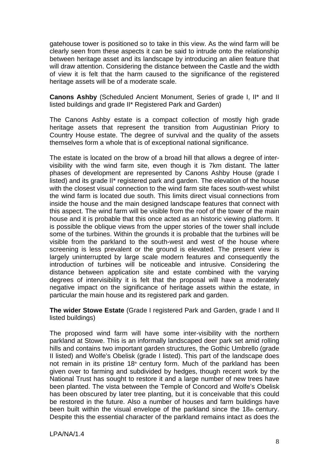gatehouse tower is positioned so to take in this view. As the wind farm will be clearly seen from these aspects it can be said to intrude onto the relationship between heritage asset and its landscape by introducing an alien feature that will draw attention. Considering the distance between the Castle and the width of view it is felt that the harm caused to the significance of the registered heritage assets will be of a moderate scale.

**Canons Ashby** (Scheduled Ancient Monument, Series of grade I, II\* and II listed buildings and grade II\* Registered Park and Garden)

The Canons Ashby estate is a compact collection of mostly high grade heritage assets that represent the transition from Augustinian Priory to Country House estate. The degree of survival and the quality of the assets themselves form a whole that is of exceptional national significance.

The estate is located on the brow of a broad hill that allows a degree of intervisibility with the wind farm site, even though it is 7km distant. The latter phases of development are represented by Canons Ashby House (grade I listed) and its grade II\* registered park and garden. The elevation of the house with the closest visual connection to the wind farm site faces south-west whilst the wind farm is located due south. This limits direct visual connections from inside the house and the main designed landscape features that connect with this aspect. The wind farm will be visible from the roof of the tower of the main house and it is probable that this once acted as an historic viewing platform. It is possible the oblique views from the upper stories of the tower shall include some of the turbines. Within the grounds it is probable that the turbines will be visible from the parkland to the south-west and west of the house where screening is less prevalent or the ground is elevated. The present view is largely uninterrupted by large scale modern features and consequently the introduction of turbines will be noticeable and intrusive. Considering the distance between application site and estate combined with the varying degrees of intervisibility it is felt that the proposal will have a moderately negative impact on the significance of heritage assets within the estate, in particular the main house and its registered park and garden.

**The wider Stowe Estate** (Grade I registered Park and Garden, grade I and II listed buildings)

The proposed wind farm will have some inter-visibility with the northern parkland at Stowe. This is an informally landscaped deer park set amid rolling hills and contains two important garden structures, the Gothic Umbrello (grade II listed) and Wolfe's Obelisk (grade I listed). This part of the landscape does not remain in its pristine  $18<sup>th</sup>$  century form. Much of the parkland has been given over to farming and subdivided by hedges, though recent work by the National Trust has sought to restore it and a large number of new trees have been planted. The vista between the Temple of Concord and Wolfe's Obelisk has been obscured by later tree planting, but it is conceivable that this could be restored in the future. Also a number of houses and farm buildings have been built within the visual envelope of the parkland since the  $18<sub>th</sub>$  century. Despite this the essential character of the parkland remains intact as does the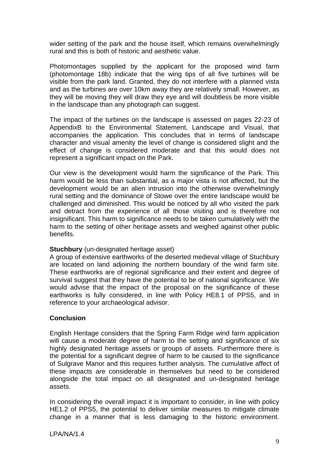wider setting of the park and the house itself, which remains overwhelmingly rural and this is both of historic and aesthetic value.

Photomontages supplied by the applicant for the proposed wind farm (photomontage 18b) indicate that the wing tips of all five turbines will be visible from the park land. Granted, they do not interfere with a planned vista and as the turbines are over 10km away they are relatively small. However, as they will be moving they will draw they eye and will doubtless be more visible in the landscape than any photograph can suggest.

The impact of the turbines on the landscape is assessed on pages 22-23 of AppendixB to the Environmental Statement, Landscape and Visual, that accompanies the application. This concludes that in terms of landscape character and visual amenity the level of change is considered slight and the effect of change is considered moderate and that this would does not represent a significant impact on the Park.

Our view is the development would harm the significance of the Park. This harm would be less than substantial, as a major vista is not affected, but the development would be an alien intrusion into the otherwise overwhelmingly rural setting and the dominance of Stowe over the entire landscape would be challenged and diminished. This would be noticed by all who visited the park and detract from the experience of all those visiting and is therefore not insignificant. This harm to significance needs to be taken cumulatively with the harm to the setting of other heritage assets and weighed against other public benefits.

## **Stuchbury** (un-designated heritage asset)

A group of extensive earthworks of the deserted medieval village of Stuchbury are located on land adjoining the northern boundary of the wind farm site. These earthworks are of regional significance and their extent and degree of survival suggest that they have the potential to be of national significance. We would advise that the impact of the proposal on the significance of these earthworks is fully considered, in line with Policy HE8.1 of PPS5, and in reference to your archaeological advisor.

## **Conclusion**

English Heritage considers that the Spring Farm Ridge wind farm application will cause a moderate degree of harm to the setting and significance of six highly designated heritage assets or groups of assets. Furthermore there is the potential for a significant degree of harm to be caused to the significance of Sulgrave Manor and this requires further analysis. The cumulative affect of these impacts are considerable in themselves but need to be considered alongside the total impact on all designated and un-designated heritage assets.

In considering the overall impact it is important to consider, in line with policy HE1.2 of PPS5, the potential to deliver similar measures to mitigate climate change in a manner that is less damaging to the historic environment.